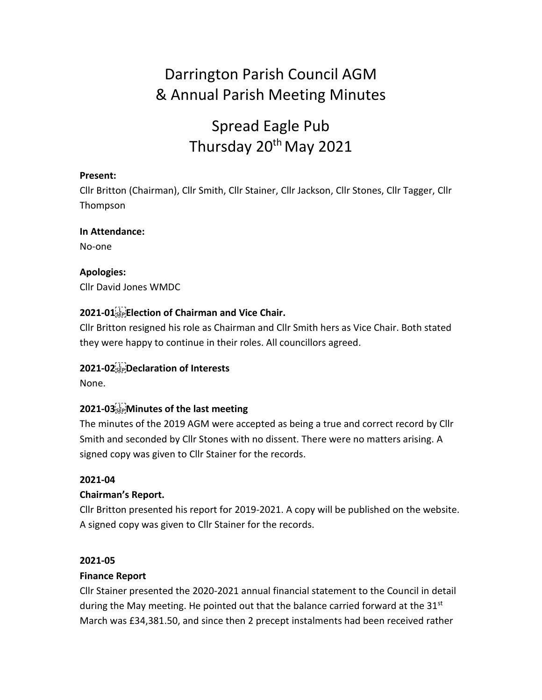# Darrington Parish Council AGM & Annual Parish Meeting Minutes

# Spread Eagle Pub Thursday 20<sup>th</sup> May 2021

## **Present:**

Cllr Britton (Chairman), Cllr Smith, Cllr Stainer, Cllr Jackson, Cllr Stones, Cllr Tagger, Cllr Thompson

## **In Attendance:**

No-one

**Apologies:**  Cllr David Jones WMDC

# **2021-01 Election of Chairman and Vice Chair.**

Cllr Britton resigned his role as Chairman and Cllr Smith hers as Vice Chair. Both stated they were happy to continue in their roles. All councillors agreed.

# **2021-02 Declaration of Interests**

None.

# **2021-03 Minutes of the last meeting**

The minutes of the 2019 AGM were accepted as being a true and correct record by Cllr Smith and seconded by Cllr Stones with no dissent. There were no matters arising. A signed copy was given to Cllr Stainer for the records.

## **2021-04**

## **Chairman's Report.**

Cllr Britton presented his report for 2019-2021. A copy will be published on the website. A signed copy was given to Cllr Stainer for the records.

#### **2021-05**

## **Finance Report**

Cllr Stainer presented the 2020-2021 annual financial statement to the Council in detail during the May meeting. He pointed out that the balance carried forward at the  $31<sup>st</sup>$ March was £34,381.50, and since then 2 precept instalments had been received rather